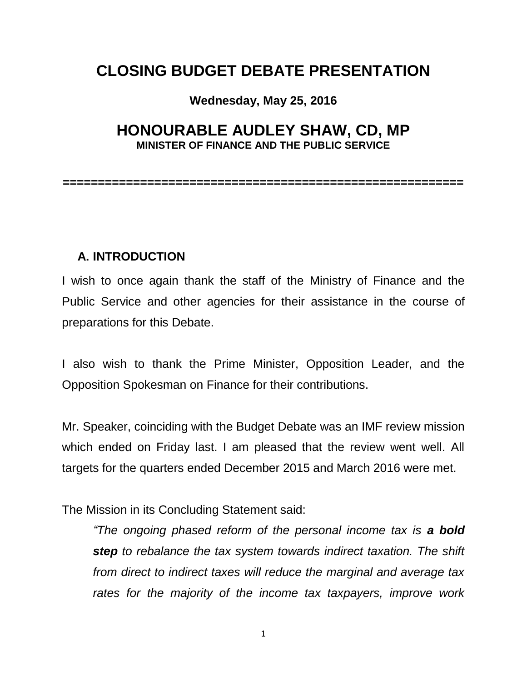# **CLOSING BUDGET DEBATE PRESENTATION**

#### **Wednesday, May 25, 2016**

# **HONOURABLE AUDLEY SHAW, CD, MP MINISTER OF FINANCE AND THE PUBLIC SERVICE**

**=========================================================**

#### **A. INTRODUCTION**

I wish to once again thank the staff of the Ministry of Finance and the Public Service and other agencies for their assistance in the course of preparations for this Debate.

I also wish to thank the Prime Minister, Opposition Leader, and the Opposition Spokesman on Finance for their contributions.

Mr. Speaker, coinciding with the Budget Debate was an IMF review mission which ended on Friday last. I am pleased that the review went well. All targets for the quarters ended December 2015 and March 2016 were met.

The Mission in its Concluding Statement said:

*"The ongoing phased reform of the personal income tax is a bold step to rebalance the tax system towards indirect taxation. The shift from direct to indirect taxes will reduce the marginal and average tax rates for the majority of the income tax taxpayers, improve work*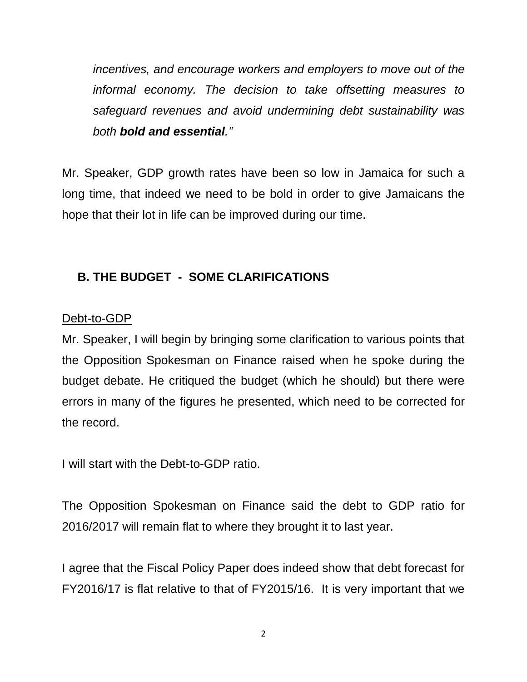*incentives, and encourage workers and employers to move out of the informal economy. The decision to take offsetting measures to safeguard revenues and avoid undermining debt sustainability was both bold and essential."*

Mr. Speaker, GDP growth rates have been so low in Jamaica for such a long time, that indeed we need to be bold in order to give Jamaicans the hope that their lot in life can be improved during our time.

# **B. THE BUDGET - SOME CLARIFICATIONS**

# Debt-to-GDP

Mr. Speaker, I will begin by bringing some clarification to various points that the Opposition Spokesman on Finance raised when he spoke during the budget debate. He critiqued the budget (which he should) but there were errors in many of the figures he presented, which need to be corrected for the record.

I will start with the Debt-to-GDP ratio.

The Opposition Spokesman on Finance said the debt to GDP ratio for 2016/2017 will remain flat to where they brought it to last year.

I agree that the Fiscal Policy Paper does indeed show that debt forecast for FY2016/17 is flat relative to that of FY2015/16. It is very important that we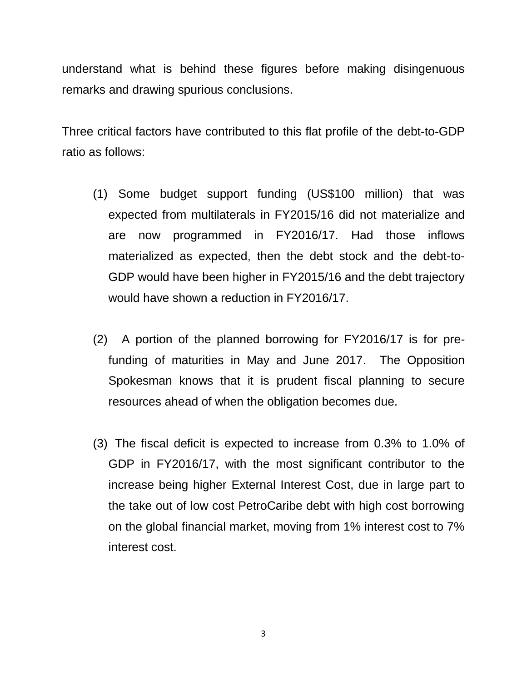understand what is behind these figures before making disingenuous remarks and drawing spurious conclusions.

Three critical factors have contributed to this flat profile of the debt-to-GDP ratio as follows:

- (1) Some budget support funding (US\$100 million) that was expected from multilaterals in FY2015/16 did not materialize and are now programmed in FY2016/17. Had those inflows materialized as expected, then the debt stock and the debt-to-GDP would have been higher in FY2015/16 and the debt trajectory would have shown a reduction in FY2016/17.
- (2) A portion of the planned borrowing for FY2016/17 is for prefunding of maturities in May and June 2017. The Opposition Spokesman knows that it is prudent fiscal planning to secure resources ahead of when the obligation becomes due.
- (3) The fiscal deficit is expected to increase from 0.3% to 1.0% of GDP in FY2016/17, with the most significant contributor to the increase being higher External Interest Cost, due in large part to the take out of low cost PetroCaribe debt with high cost borrowing on the global financial market, moving from 1% interest cost to 7% interest cost.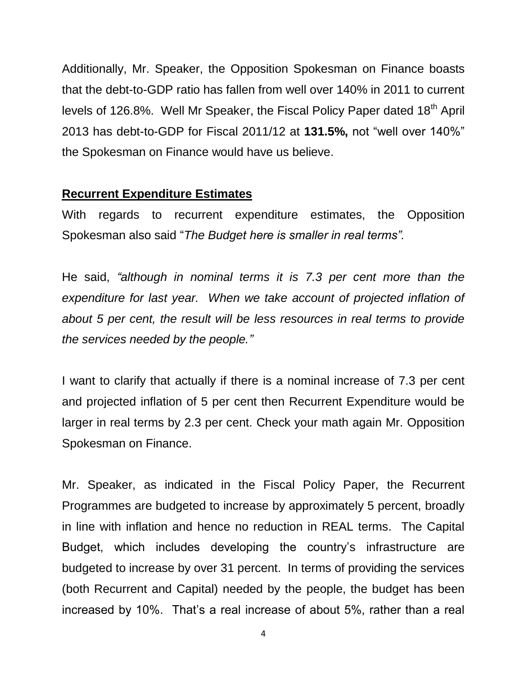Additionally, Mr. Speaker, the Opposition Spokesman on Finance boasts that the debt-to-GDP ratio has fallen from well over 140% in 2011 to current levels of 126.8%. Well Mr Speaker, the Fiscal Policy Paper dated 18<sup>th</sup> April 2013 has debt-to-GDP for Fiscal 2011/12 at **131.5%,** not "well over 140%" the Spokesman on Finance would have us believe.

### **Recurrent Expenditure Estimates**

With regards to recurrent expenditure estimates, the Opposition Spokesman also said "*The Budget here is smaller in real terms".*

He said, *"although in nominal terms it is 7.3 per cent more than the expenditure for last year. When we take account of projected inflation of about 5 per cent, the result will be less resources in real terms to provide the services needed by the people."*

I want to clarify that actually if there is a nominal increase of 7.3 per cent and projected inflation of 5 per cent then Recurrent Expenditure would be larger in real terms by 2.3 per cent. Check your math again Mr. Opposition Spokesman on Finance.

Mr. Speaker, as indicated in the Fiscal Policy Paper, the Recurrent Programmes are budgeted to increase by approximately 5 percent, broadly in line with inflation and hence no reduction in REAL terms. The Capital Budget, which includes developing the country's infrastructure are budgeted to increase by over 31 percent. In terms of providing the services (both Recurrent and Capital) needed by the people, the budget has been increased by 10%. That's a real increase of about 5%, rather than a real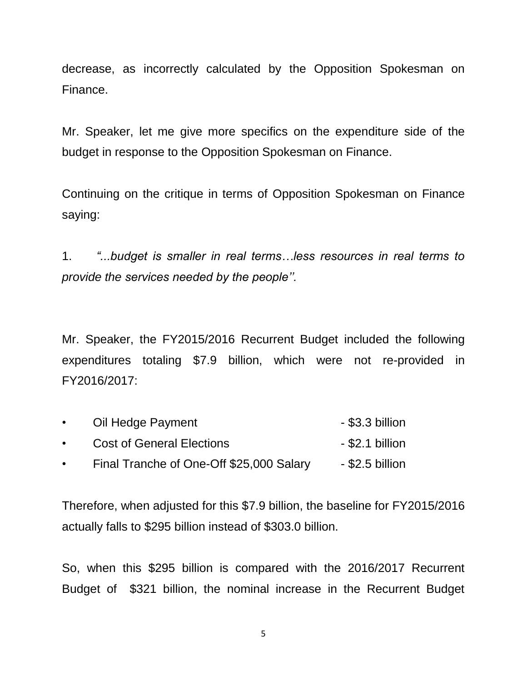decrease, as incorrectly calculated by the Opposition Spokesman on Finance.

Mr. Speaker, let me give more specifics on the expenditure side of the budget in response to the Opposition Spokesman on Finance.

Continuing on the critique in terms of Opposition Spokesman on Finance saying:

1. *"...budget is smaller in real terms…less resources in real terms to provide the services needed by the people''.*

Mr. Speaker, the FY2015/2016 Recurrent Budget included the following expenditures totaling \$7.9 billion, which were not re-provided in FY2016/2017:

| $\bullet$ | Oil Hedge Payment                        | $-$ \$3.3 billion |
|-----------|------------------------------------------|-------------------|
| $\bullet$ | <b>Cost of General Elections</b>         | - \$2.1 billion   |
| $\bullet$ | Final Tranche of One-Off \$25,000 Salary | - \$2.5 billion   |

Therefore, when adjusted for this \$7.9 billion, the baseline for FY2015/2016 actually falls to \$295 billion instead of \$303.0 billion.

So, when this \$295 billion is compared with the 2016/2017 Recurrent Budget of \$321 billion, the nominal increase in the Recurrent Budget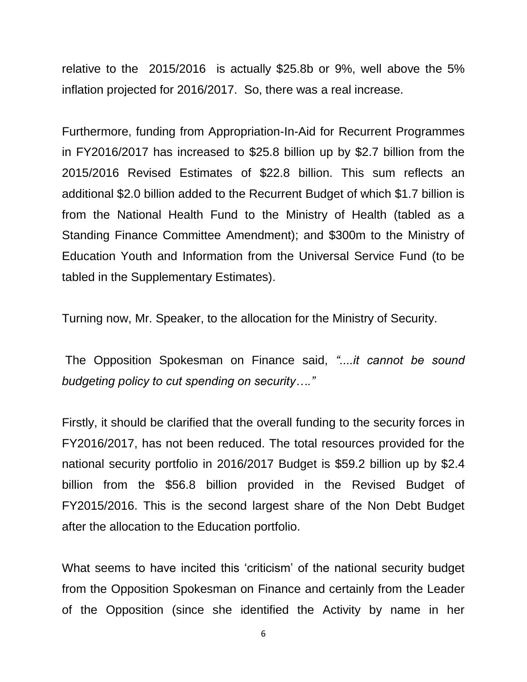relative to the 2015/2016 is actually \$25.8b or 9%, well above the 5% inflation projected for 2016/2017. So, there was a real increase.

Furthermore, funding from Appropriation-In-Aid for Recurrent Programmes in FY2016/2017 has increased to \$25.8 billion up by \$2.7 billion from the 2015/2016 Revised Estimates of \$22.8 billion. This sum reflects an additional \$2.0 billion added to the Recurrent Budget of which \$1.7 billion is from the National Health Fund to the Ministry of Health (tabled as a Standing Finance Committee Amendment); and \$300m to the Ministry of Education Youth and Information from the Universal Service Fund (to be tabled in the Supplementary Estimates).

Turning now, Mr. Speaker, to the allocation for the Ministry of Security.

The Opposition Spokesman on Finance said, *"....it cannot be sound budgeting policy to cut spending on security…."*

Firstly, it should be clarified that the overall funding to the security forces in FY2016/2017, has not been reduced. The total resources provided for the national security portfolio in 2016/2017 Budget is \$59.2 billion up by \$2.4 billion from the \$56.8 billion provided in the Revised Budget of FY2015/2016. This is the second largest share of the Non Debt Budget after the allocation to the Education portfolio.

What seems to have incited this 'criticism' of the national security budget from the Opposition Spokesman on Finance and certainly from the Leader of the Opposition (since she identified the Activity by name in her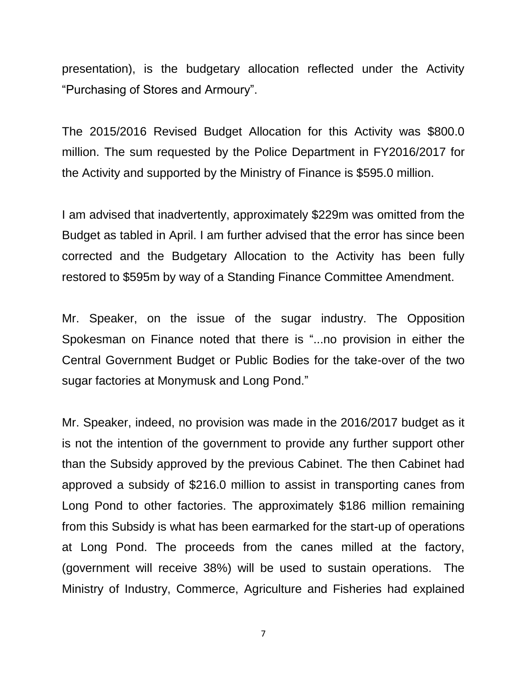presentation), is the budgetary allocation reflected under the Activity "Purchasing of Stores and Armoury".

The 2015/2016 Revised Budget Allocation for this Activity was \$800.0 million. The sum requested by the Police Department in FY2016/2017 for the Activity and supported by the Ministry of Finance is \$595.0 million.

I am advised that inadvertently, approximately \$229m was omitted from the Budget as tabled in April. I am further advised that the error has since been corrected and the Budgetary Allocation to the Activity has been fully restored to \$595m by way of a Standing Finance Committee Amendment.

Mr. Speaker, on the issue of the sugar industry. The Opposition Spokesman on Finance noted that there is "...no provision in either the Central Government Budget or Public Bodies for the take-over of the two sugar factories at Monymusk and Long Pond."

Mr. Speaker, indeed, no provision was made in the 2016/2017 budget as it is not the intention of the government to provide any further support other than the Subsidy approved by the previous Cabinet. The then Cabinet had approved a subsidy of \$216.0 million to assist in transporting canes from Long Pond to other factories. The approximately \$186 million remaining from this Subsidy is what has been earmarked for the start-up of operations at Long Pond. The proceeds from the canes milled at the factory, (government will receive 38%) will be used to sustain operations. The Ministry of Industry, Commerce, Agriculture and Fisheries had explained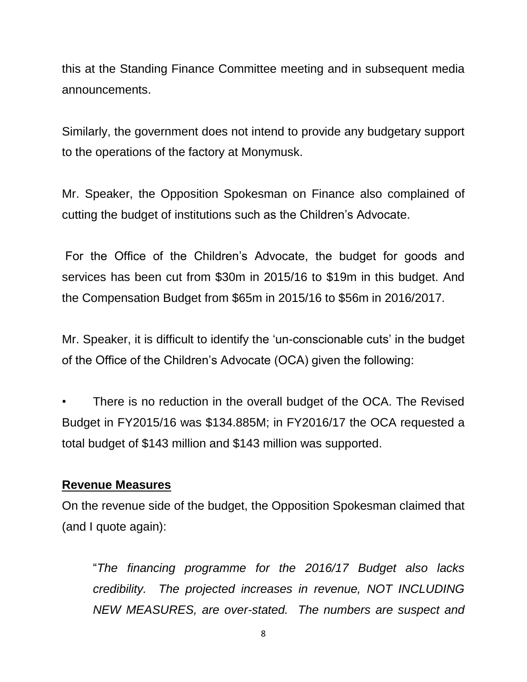this at the Standing Finance Committee meeting and in subsequent media announcements.

Similarly, the government does not intend to provide any budgetary support to the operations of the factory at Monymusk.

Mr. Speaker, the Opposition Spokesman on Finance also complained of cutting the budget of institutions such as the Children's Advocate.

For the Office of the Children's Advocate, the budget for goods and services has been cut from \$30m in 2015/16 to \$19m in this budget. And the Compensation Budget from \$65m in 2015/16 to \$56m in 2016/2017.

Mr. Speaker, it is difficult to identify the 'un-conscionable cuts' in the budget of the Office of the Children's Advocate (OCA) given the following:

There is no reduction in the overall budget of the OCA. The Revised Budget in FY2015/16 was \$134.885M; in FY2016/17 the OCA requested a total budget of \$143 million and \$143 million was supported.

### **Revenue Measures**

On the revenue side of the budget, the Opposition Spokesman claimed that (and I quote again):

"*The financing programme for the 2016/17 Budget also lacks credibility. The projected increases in revenue, NOT INCLUDING NEW MEASURES, are over-stated. The numbers are suspect and*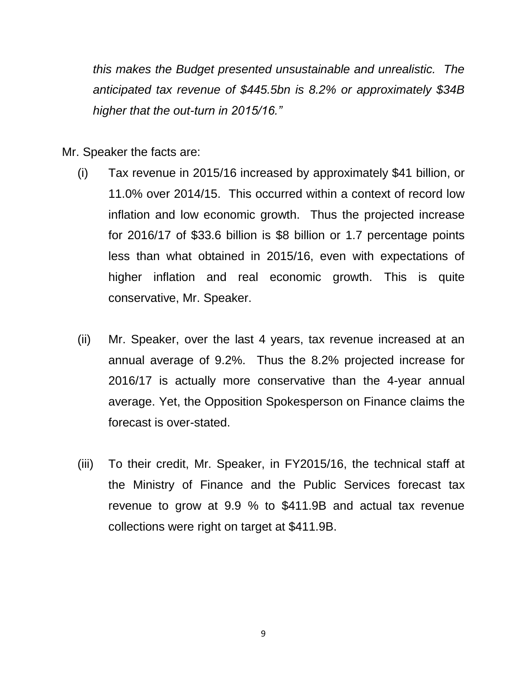*this makes the Budget presented unsustainable and unrealistic. The anticipated tax revenue of \$445.5bn is 8.2% or approximately \$34B higher that the out-turn in 2015/16."* 

Mr. Speaker the facts are:

- (i) Tax revenue in 2015/16 increased by approximately \$41 billion, or 11.0% over 2014/15. This occurred within a context of record low inflation and low economic growth. Thus the projected increase for 2016/17 of \$33.6 billion is \$8 billion or 1.7 percentage points less than what obtained in 2015/16, even with expectations of higher inflation and real economic growth. This is quite conservative, Mr. Speaker.
- (ii) Mr. Speaker, over the last 4 years, tax revenue increased at an annual average of 9.2%. Thus the 8.2% projected increase for 2016/17 is actually more conservative than the 4-year annual average. Yet, the Opposition Spokesperson on Finance claims the forecast is over-stated.
- (iii) To their credit, Mr. Speaker, in FY2015/16, the technical staff at the Ministry of Finance and the Public Services forecast tax revenue to grow at 9.9 % to \$411.9B and actual tax revenue collections were right on target at \$411.9B.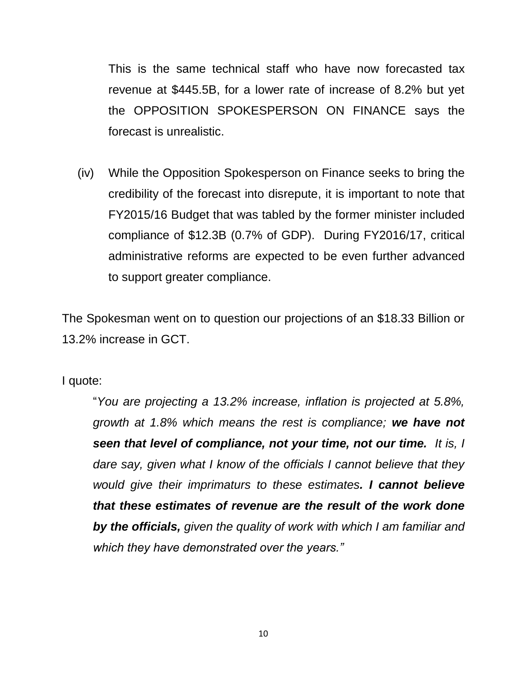This is the same technical staff who have now forecasted tax revenue at \$445.5B, for a lower rate of increase of 8.2% but yet the OPPOSITION SPOKESPERSON ON FINANCE says the forecast is unrealistic.

(iv) While the Opposition Spokesperson on Finance seeks to bring the credibility of the forecast into disrepute, it is important to note that FY2015/16 Budget that was tabled by the former minister included compliance of \$12.3B (0.7% of GDP). During FY2016/17, critical administrative reforms are expected to be even further advanced to support greater compliance.

The Spokesman went on to question our projections of an \$18.33 Billion or 13.2% increase in GCT.

I quote:

"*You are projecting a 13.2% increase, inflation is projected at 5.8%, growth at 1.8% which means the rest is compliance; we have not seen that level of compliance, not your time, not our time. It is, I dare say, given what I know of the officials I cannot believe that they would give their imprimaturs to these estimates. I cannot believe that these estimates of revenue are the result of the work done by the officials, given the quality of work with which I am familiar and which they have demonstrated over the years."*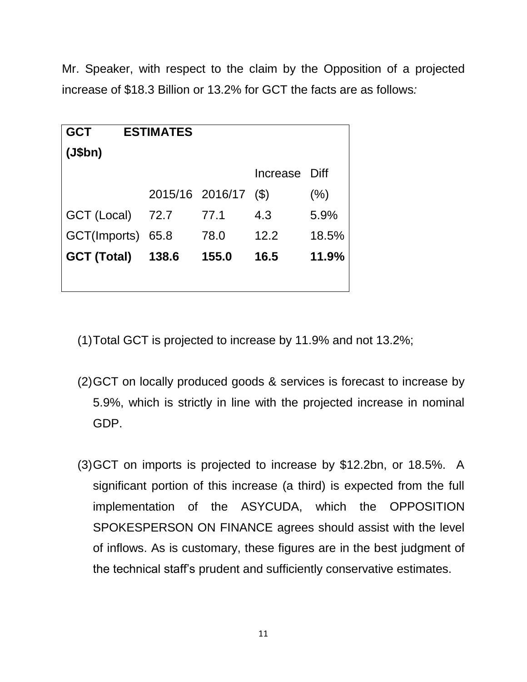Mr. Speaker, with respect to the claim by the Opposition of a projected increase of \$18.3 Billion or 13.2% for GCT the facts are as follows*:* 

| <b>GCT</b><br><b>ESTIMATES</b> |       |                 |                 |         |
|--------------------------------|-------|-----------------|-----------------|---------|
| (J\$bh)                        |       |                 |                 |         |
|                                |       |                 | Increase Diff   |         |
|                                |       | 2015/16 2016/17 | $(\mathcal{S})$ | $(\% )$ |
| GCT (Local)                    | 72.7  | 77.1            | 4.3             | 5.9%    |
| GCT(Imports)                   | 65.8  | 78.0            | 12.2            | 18.5%   |
| <b>GCT (Total)</b>             | 138.6 | 155.0           | 16.5            | 11.9%   |
|                                |       |                 |                 |         |

- (1)Total GCT is projected to increase by 11.9% and not 13.2%;
- (2)GCT on locally produced goods & services is forecast to increase by 5.9%, which is strictly in line with the projected increase in nominal GDP.
- (3)GCT on imports is projected to increase by \$12.2bn, or 18.5%. A significant portion of this increase (a third) is expected from the full implementation of the ASYCUDA, which the OPPOSITION SPOKESPERSON ON FINANCE agrees should assist with the level of inflows. As is customary, these figures are in the best judgment of the technical staff's prudent and sufficiently conservative estimates.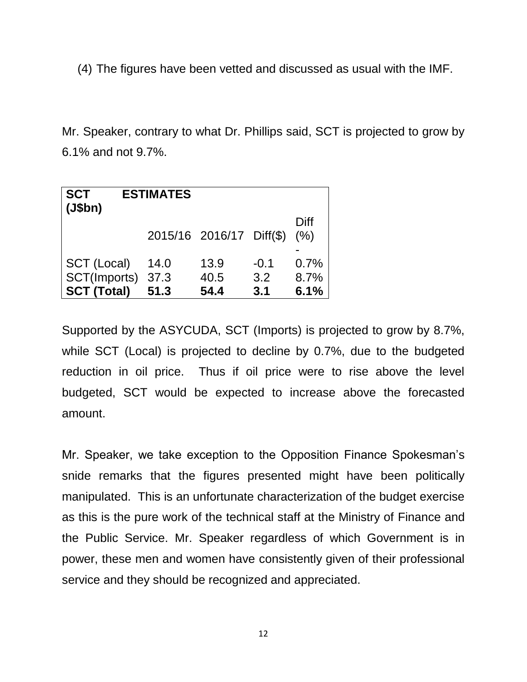(4) The figures have been vetted and discussed as usual with the IMF.

Mr. Speaker, contrary to what Dr. Phillips said, SCT is projected to grow by 6.1% and not 9.7%.

| <b>SCT</b><br>$\vert$ (J\$bn) | <b>ESTIMATES</b> |                          |        |              |
|-------------------------------|------------------|--------------------------|--------|--------------|
|                               |                  | 2015/16 2016/17 Diff(\$) |        | Diff<br>(% ) |
| SCT (Local)                   | 14.0             | 13.9                     | $-0.1$ | 0.7%         |
| SCT(Imports)                  | 37.3             | 40.5                     | 3.2    | 8.7%         |
| <b>SCT (Total)</b>            | 51.3             | 54.4                     | 3.1    | 6.1%         |

Supported by the ASYCUDA, SCT (Imports) is projected to grow by 8.7%, while SCT (Local) is projected to decline by 0.7%, due to the budgeted reduction in oil price. Thus if oil price were to rise above the level budgeted, SCT would be expected to increase above the forecasted amount.

Mr. Speaker, we take exception to the Opposition Finance Spokesman's snide remarks that the figures presented might have been politically manipulated. This is an unfortunate characterization of the budget exercise as this is the pure work of the technical staff at the Ministry of Finance and the Public Service. Mr. Speaker regardless of which Government is in power, these men and women have consistently given of their professional service and they should be recognized and appreciated.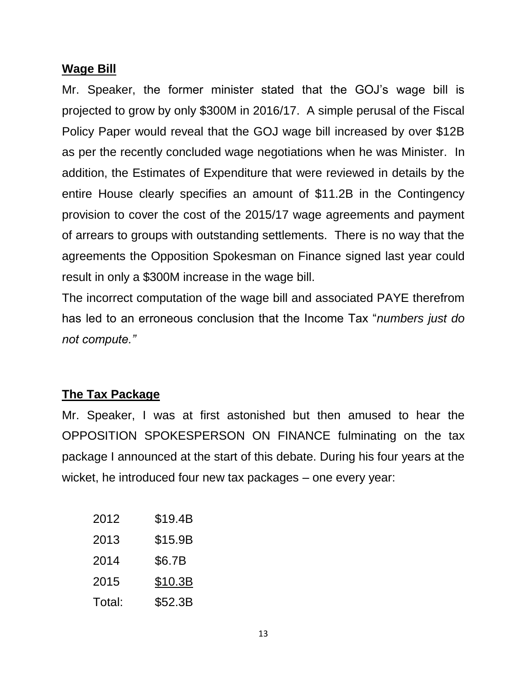### **Wage Bill**

Mr. Speaker, the former minister stated that the GOJ's wage bill is projected to grow by only \$300M in 2016/17. A simple perusal of the Fiscal Policy Paper would reveal that the GOJ wage bill increased by over \$12B as per the recently concluded wage negotiations when he was Minister. In addition, the Estimates of Expenditure that were reviewed in details by the entire House clearly specifies an amount of \$11.2B in the Contingency provision to cover the cost of the 2015/17 wage agreements and payment of arrears to groups with outstanding settlements. There is no way that the agreements the Opposition Spokesman on Finance signed last year could result in only a \$300M increase in the wage bill.

The incorrect computation of the wage bill and associated PAYE therefrom has led to an erroneous conclusion that the Income Tax "*numbers just do not compute."*

# **The Tax Package**

Mr. Speaker, I was at first astonished but then amused to hear the OPPOSITION SPOKESPERSON ON FINANCE fulminating on the tax package I announced at the start of this debate. During his four years at the wicket, he introduced four new tax packages – one every year:

| 2012   | \$19.4B |
|--------|---------|
| 2013   | \$15.9B |
| 2014   | \$6.7B  |
| 2015   | \$10.3B |
| Total: | \$52.3B |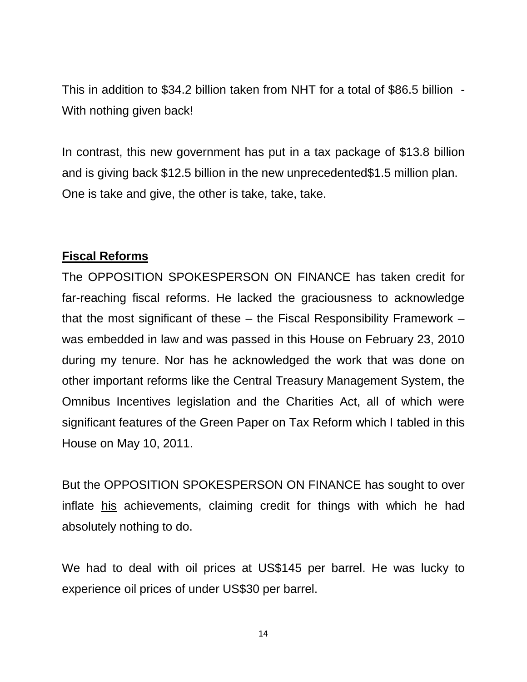This in addition to \$34.2 billion taken from NHT for a total of \$86.5 billion - With nothing given back!

In contrast, this new government has put in a tax package of \$13.8 billion and is giving back \$12.5 billion in the new unprecedented\$1.5 million plan. One is take and give, the other is take, take, take.

### **Fiscal Reforms**

The OPPOSITION SPOKESPERSON ON FINANCE has taken credit for far-reaching fiscal reforms. He lacked the graciousness to acknowledge that the most significant of these – the Fiscal Responsibility Framework – was embedded in law and was passed in this House on February 23, 2010 during my tenure. Nor has he acknowledged the work that was done on other important reforms like the Central Treasury Management System, the Omnibus Incentives legislation and the Charities Act, all of which were significant features of the Green Paper on Tax Reform which I tabled in this House on May 10, 2011.

But the OPPOSITION SPOKESPERSON ON FINANCE has sought to over inflate his achievements, claiming credit for things with which he had absolutely nothing to do.

We had to deal with oil prices at US\$145 per barrel. He was lucky to experience oil prices of under US\$30 per barrel.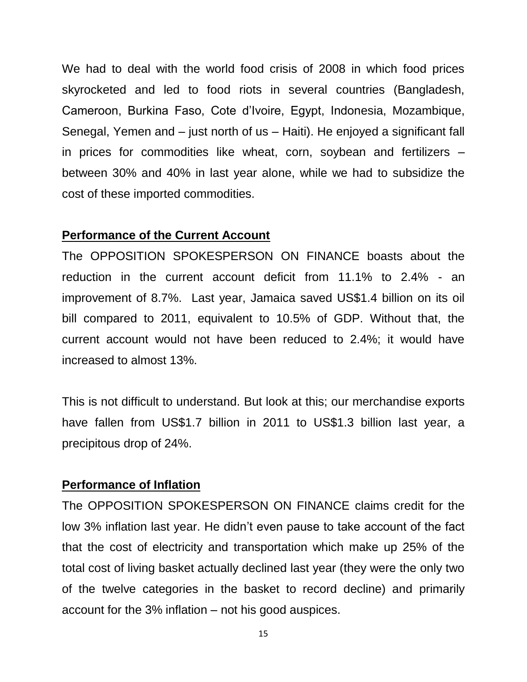We had to deal with the world food crisis of 2008 in which food prices skyrocketed and led to food riots in several countries (Bangladesh, Cameroon, Burkina Faso, Cote d'Ivoire, Egypt, Indonesia, Mozambique, Senegal, Yemen and – just north of us – Haiti). He enjoyed a significant fall in prices for commodities like wheat, corn, soybean and fertilizers – between 30% and 40% in last year alone, while we had to subsidize the cost of these imported commodities.

#### **Performance of the Current Account**

The OPPOSITION SPOKESPERSON ON FINANCE boasts about the reduction in the current account deficit from 11.1% to 2.4% - an improvement of 8.7%. Last year, Jamaica saved US\$1.4 billion on its oil bill compared to 2011, equivalent to 10.5% of GDP. Without that, the current account would not have been reduced to 2.4%; it would have increased to almost 13%.

This is not difficult to understand. But look at this; our merchandise exports have fallen from US\$1.7 billion in 2011 to US\$1.3 billion last year, a precipitous drop of 24%.

#### **Performance of Inflation**

The OPPOSITION SPOKESPERSON ON FINANCE claims credit for the low 3% inflation last year. He didn't even pause to take account of the fact that the cost of electricity and transportation which make up 25% of the total cost of living basket actually declined last year (they were the only two of the twelve categories in the basket to record decline) and primarily account for the 3% inflation – not his good auspices.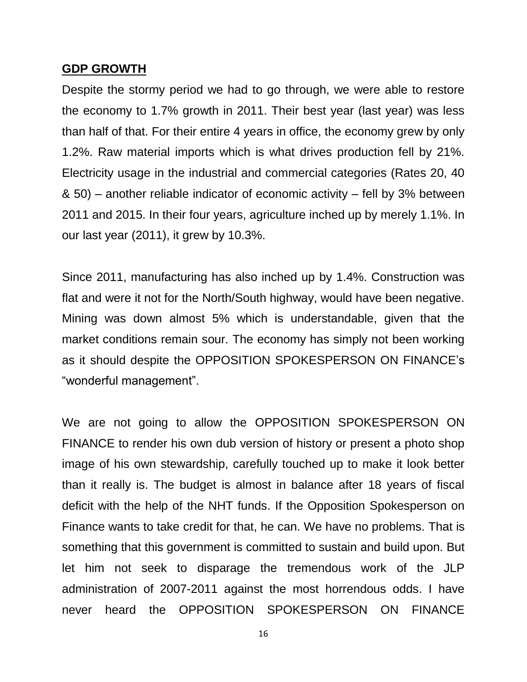#### **GDP GROWTH**

Despite the stormy period we had to go through, we were able to restore the economy to 1.7% growth in 2011. Their best year (last year) was less than half of that. For their entire 4 years in office, the economy grew by only 1.2%. Raw material imports which is what drives production fell by 21%. Electricity usage in the industrial and commercial categories (Rates 20, 40 & 50) – another reliable indicator of economic activity – fell by 3% between 2011 and 2015. In their four years, agriculture inched up by merely 1.1%. In our last year (2011), it grew by 10.3%.

Since 2011, manufacturing has also inched up by 1.4%. Construction was flat and were it not for the North/South highway, would have been negative. Mining was down almost 5% which is understandable, given that the market conditions remain sour. The economy has simply not been working as it should despite the OPPOSITION SPOKESPERSON ON FINANCE's "wonderful management".

We are not going to allow the OPPOSITION SPOKESPERSON ON FINANCE to render his own dub version of history or present a photo shop image of his own stewardship, carefully touched up to make it look better than it really is. The budget is almost in balance after 18 years of fiscal deficit with the help of the NHT funds. If the Opposition Spokesperson on Finance wants to take credit for that, he can. We have no problems. That is something that this government is committed to sustain and build upon. But let him not seek to disparage the tremendous work of the JLP administration of 2007-2011 against the most horrendous odds. I have never heard the OPPOSITION SPOKESPERSON ON FINANCE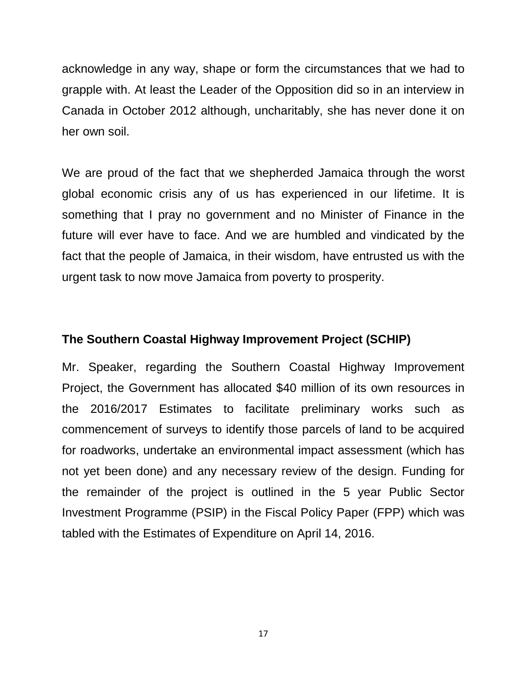acknowledge in any way, shape or form the circumstances that we had to grapple with. At least the Leader of the Opposition did so in an interview in Canada in October 2012 although, uncharitably, she has never done it on her own soil.

We are proud of the fact that we shepherded Jamaica through the worst global economic crisis any of us has experienced in our lifetime. It is something that I pray no government and no Minister of Finance in the future will ever have to face. And we are humbled and vindicated by the fact that the people of Jamaica, in their wisdom, have entrusted us with the urgent task to now move Jamaica from poverty to prosperity.

#### **The Southern Coastal Highway Improvement Project (SCHIP)**

Mr. Speaker, regarding the Southern Coastal Highway Improvement Project, the Government has allocated \$40 million of its own resources in the 2016/2017 Estimates to facilitate preliminary works such as commencement of surveys to identify those parcels of land to be acquired for roadworks, undertake an environmental impact assessment (which has not yet been done) and any necessary review of the design. Funding for the remainder of the project is outlined in the 5 year Public Sector Investment Programme (PSIP) in the Fiscal Policy Paper (FPP) which was tabled with the Estimates of Expenditure on April 14, 2016.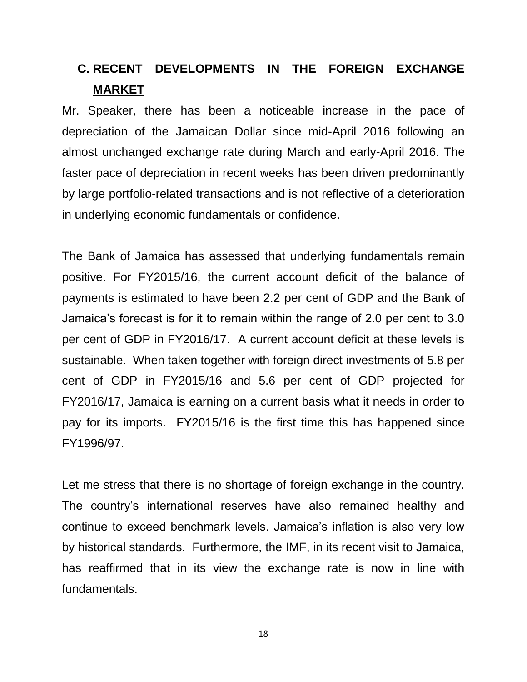# **C. RECENT DEVELOPMENTS IN THE FOREIGN EXCHANGE MARKET**

Mr. Speaker, there has been a noticeable increase in the pace of depreciation of the Jamaican Dollar since mid-April 2016 following an almost unchanged exchange rate during March and early-April 2016. The faster pace of depreciation in recent weeks has been driven predominantly by large portfolio-related transactions and is not reflective of a deterioration in underlying economic fundamentals or confidence.

The Bank of Jamaica has assessed that underlying fundamentals remain positive. For FY2015/16, the current account deficit of the balance of payments is estimated to have been 2.2 per cent of GDP and the Bank of Jamaica's forecast is for it to remain within the range of 2.0 per cent to 3.0 per cent of GDP in FY2016/17. A current account deficit at these levels is sustainable. When taken together with foreign direct investments of 5.8 per cent of GDP in FY2015/16 and 5.6 per cent of GDP projected for FY2016/17, Jamaica is earning on a current basis what it needs in order to pay for its imports. FY2015/16 is the first time this has happened since FY1996/97.

Let me stress that there is no shortage of foreign exchange in the country. The country's international reserves have also remained healthy and continue to exceed benchmark levels. Jamaica's inflation is also very low by historical standards. Furthermore, the IMF, in its recent visit to Jamaica, has reaffirmed that in its view the exchange rate is now in line with fundamentals.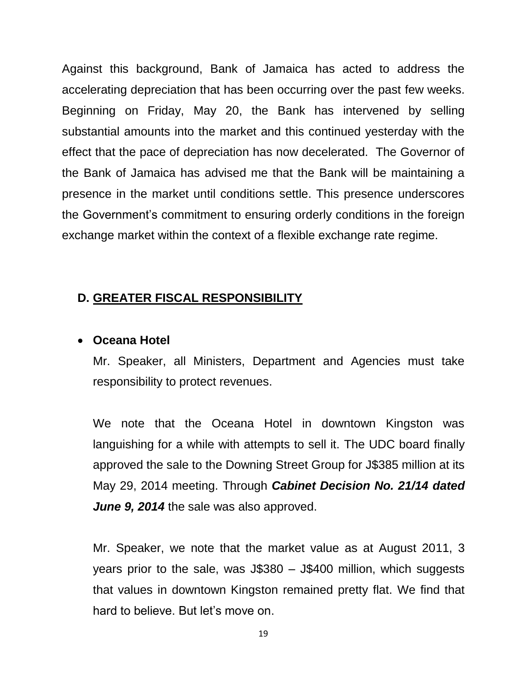Against this background, Bank of Jamaica has acted to address the accelerating depreciation that has been occurring over the past few weeks. Beginning on Friday, May 20, the Bank has intervened by selling substantial amounts into the market and this continued yesterday with the effect that the pace of depreciation has now decelerated. The Governor of the Bank of Jamaica has advised me that the Bank will be maintaining a presence in the market until conditions settle. This presence underscores the Government's commitment to ensuring orderly conditions in the foreign exchange market within the context of a flexible exchange rate regime.

#### **D. GREATER FISCAL RESPONSIBILITY**

#### **Oceana Hotel**

Mr. Speaker, all Ministers, Department and Agencies must take responsibility to protect revenues.

We note that the Oceana Hotel in downtown Kingston was languishing for a while with attempts to sell it. The UDC board finally approved the sale to the Downing Street Group for J\$385 million at its May 29, 2014 meeting. Through *Cabinet Decision No. 21/14 dated June 9, 2014* the sale was also approved.

Mr. Speaker, we note that the market value as at August 2011, 3 years prior to the sale, was J\$380 – J\$400 million, which suggests that values in downtown Kingston remained pretty flat. We find that hard to believe. But let's move on.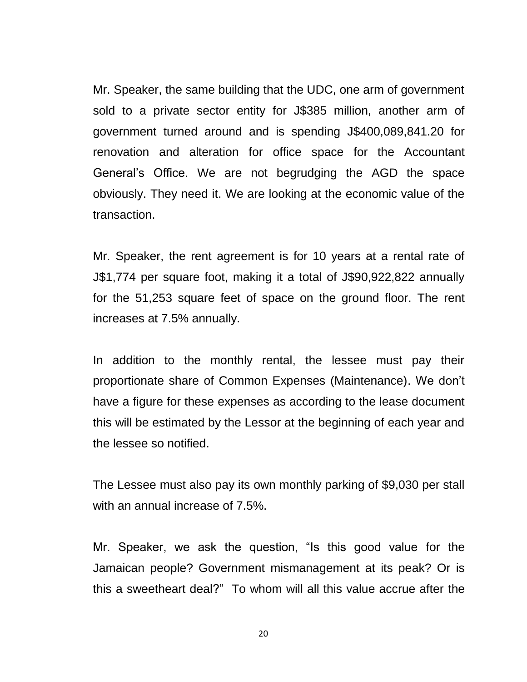Mr. Speaker, the same building that the UDC, one arm of government sold to a private sector entity for J\$385 million, another arm of government turned around and is spending J\$400,089,841.20 for renovation and alteration for office space for the Accountant General's Office. We are not begrudging the AGD the space obviously. They need it. We are looking at the economic value of the transaction.

Mr. Speaker, the rent agreement is for 10 years at a rental rate of J\$1,774 per square foot, making it a total of J\$90,922,822 annually for the 51,253 square feet of space on the ground floor. The rent increases at 7.5% annually.

In addition to the monthly rental, the lessee must pay their proportionate share of Common Expenses (Maintenance). We don't have a figure for these expenses as according to the lease document this will be estimated by the Lessor at the beginning of each year and the lessee so notified.

The Lessee must also pay its own monthly parking of \$9,030 per stall with an annual increase of 7.5%.

Mr. Speaker, we ask the question, "Is this good value for the Jamaican people? Government mismanagement at its peak? Or is this a sweetheart deal?" To whom will all this value accrue after the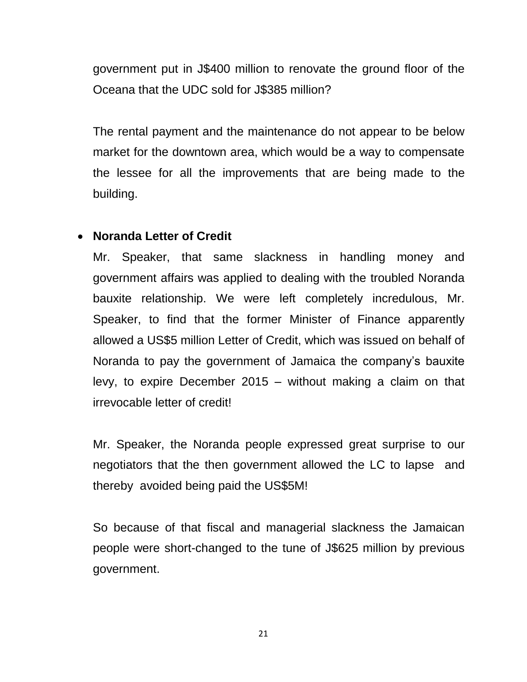government put in J\$400 million to renovate the ground floor of the Oceana that the UDC sold for J\$385 million?

The rental payment and the maintenance do not appear to be below market for the downtown area, which would be a way to compensate the lessee for all the improvements that are being made to the building.

### **Noranda Letter of Credit**

Mr. Speaker, that same slackness in handling money and government affairs was applied to dealing with the troubled Noranda bauxite relationship. We were left completely incredulous, Mr. Speaker, to find that the former Minister of Finance apparently allowed a US\$5 million Letter of Credit, which was issued on behalf of Noranda to pay the government of Jamaica the company's bauxite levy, to expire December 2015 – without making a claim on that irrevocable letter of credit!

Mr. Speaker, the Noranda people expressed great surprise to our negotiators that the then government allowed the LC to lapse and thereby avoided being paid the US\$5M!

So because of that fiscal and managerial slackness the Jamaican people were short-changed to the tune of J\$625 million by previous government.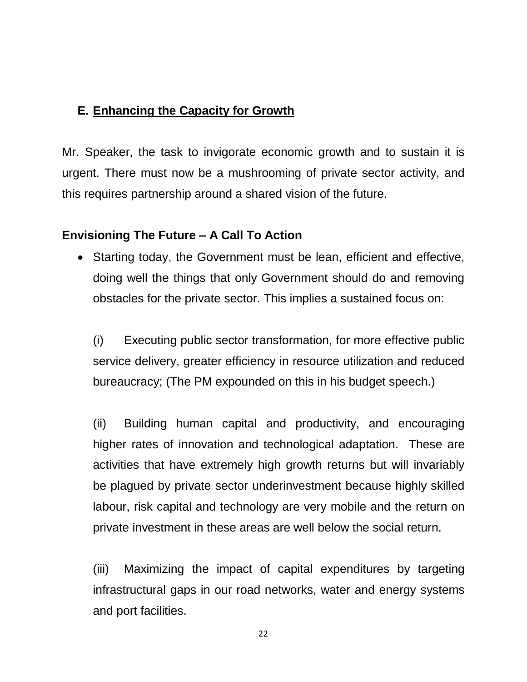# **E. Enhancing the Capacity for Growth**

Mr. Speaker, the task to invigorate economic growth and to sustain it is urgent. There must now be a mushrooming of private sector activity, and this requires partnership around a shared vision of the future.

# **Envisioning The Future – A Call To Action**

• Starting today, the Government must be lean, efficient and effective, doing well the things that only Government should do and removing obstacles for the private sector. This implies a sustained focus on:

(i) Executing public sector transformation, for more effective public service delivery, greater efficiency in resource utilization and reduced bureaucracy; (The PM expounded on this in his budget speech.)

(ii) Building human capital and productivity, and encouraging higher rates of innovation and technological adaptation. These are activities that have extremely high growth returns but will invariably be plagued by private sector underinvestment because highly skilled labour, risk capital and technology are very mobile and the return on private investment in these areas are well below the social return.

(iii) Maximizing the impact of capital expenditures by targeting infrastructural gaps in our road networks, water and energy systems and port facilities.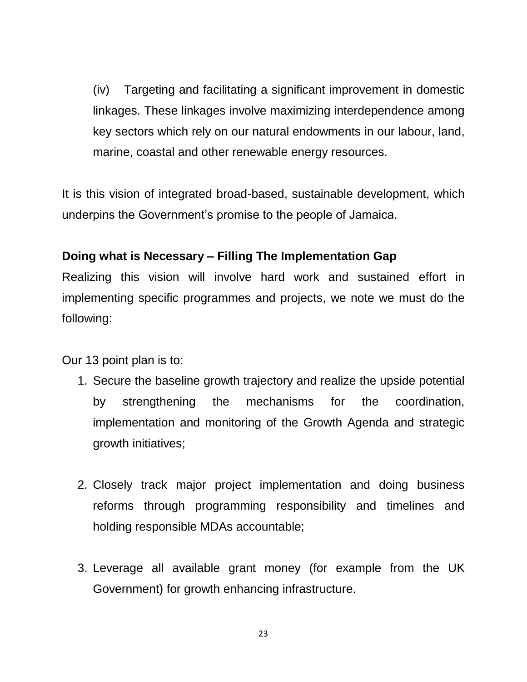(iv) Targeting and facilitating a significant improvement in domestic linkages. These linkages involve maximizing interdependence among key sectors which rely on our natural endowments in our labour, land, marine, coastal and other renewable energy resources.

It is this vision of integrated broad-based, sustainable development, which underpins the Government's promise to the people of Jamaica.

### **Doing what is Necessary – Filling The Implementation Gap**

Realizing this vision will involve hard work and sustained effort in implementing specific programmes and projects, we note we must do the following:

Our 13 point plan is to:

- 1. Secure the baseline growth trajectory and realize the upside potential by strengthening the mechanisms for the coordination, implementation and monitoring of the Growth Agenda and strategic growth initiatives;
- 2. Closely track major project implementation and doing business reforms through programming responsibility and timelines and holding responsible MDAs accountable;
- 3. Leverage all available grant money (for example from the UK Government) for growth enhancing infrastructure.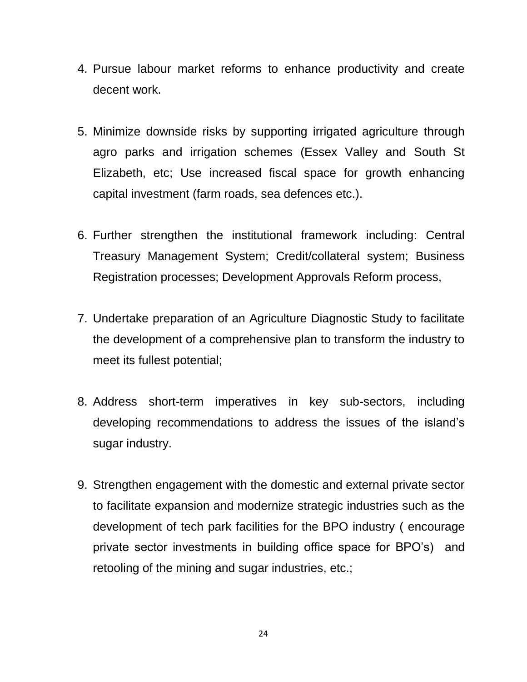- 4. Pursue labour market reforms to enhance productivity and create decent work.
- 5. Minimize downside risks by supporting irrigated agriculture through agro parks and irrigation schemes (Essex Valley and South St Elizabeth, etc; Use increased fiscal space for growth enhancing capital investment (farm roads, sea defences etc.).
- 6. Further strengthen the institutional framework including: Central Treasury Management System; Credit/collateral system; Business Registration processes; Development Approvals Reform process,
- 7. Undertake preparation of an Agriculture Diagnostic Study to facilitate the development of a comprehensive plan to transform the industry to meet its fullest potential;
- 8. Address short-term imperatives in key sub-sectors, including developing recommendations to address the issues of the island's sugar industry.
- 9. Strengthen engagement with the domestic and external private sector to facilitate expansion and modernize strategic industries such as the development of tech park facilities for the BPO industry ( encourage private sector investments in building office space for BPO's) and retooling of the mining and sugar industries, etc.;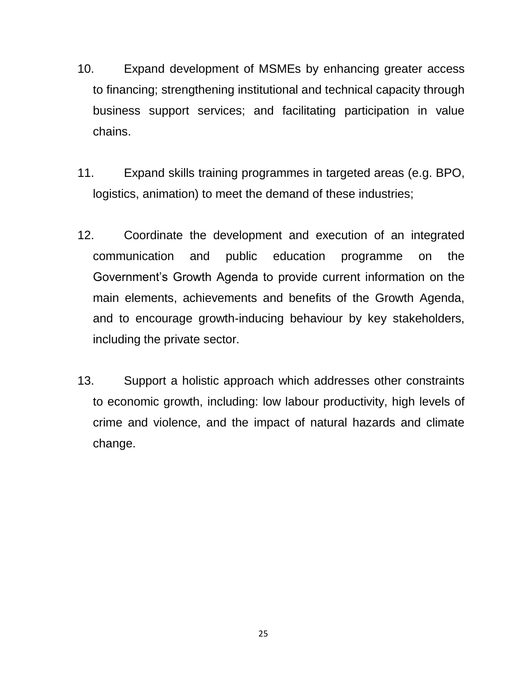- 10. Expand development of MSMEs by enhancing greater access to financing; strengthening institutional and technical capacity through business support services; and facilitating participation in value chains.
- 11. Expand skills training programmes in targeted areas (e.g. BPO, logistics, animation) to meet the demand of these industries;
- 12. Coordinate the development and execution of an integrated communication and public education programme on the Government's Growth Agenda to provide current information on the main elements, achievements and benefits of the Growth Agenda, and to encourage growth-inducing behaviour by key stakeholders, including the private sector.
- 13. Support a holistic approach which addresses other constraints to economic growth, including: low labour productivity, high levels of crime and violence, and the impact of natural hazards and climate change.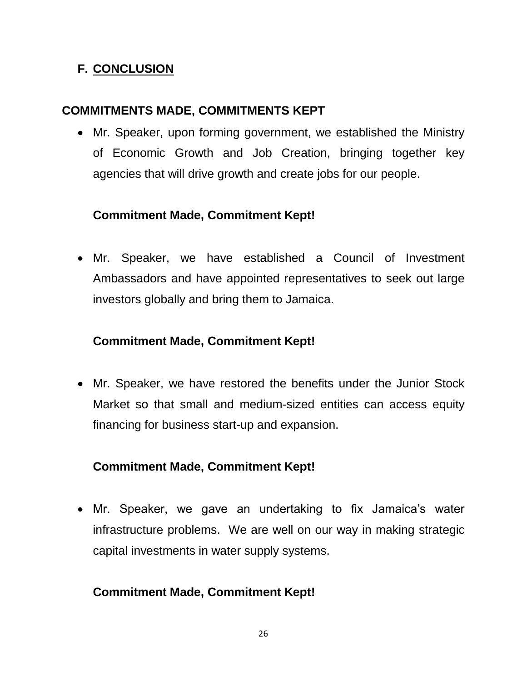# **F. CONCLUSION**

# **COMMITMENTS MADE, COMMITMENTS KEPT**

 Mr. Speaker, upon forming government, we established the Ministry of Economic Growth and Job Creation, bringing together key agencies that will drive growth and create jobs for our people.

# **Commitment Made, Commitment Kept!**

 Mr. Speaker, we have established a Council of Investment Ambassadors and have appointed representatives to seek out large investors globally and bring them to Jamaica.

# **Commitment Made, Commitment Kept!**

 Mr. Speaker, we have restored the benefits under the Junior Stock Market so that small and medium-sized entities can access equity financing for business start-up and expansion.

# **Commitment Made, Commitment Kept!**

 Mr. Speaker, we gave an undertaking to fix Jamaica's water infrastructure problems. We are well on our way in making strategic capital investments in water supply systems.

# **Commitment Made, Commitment Kept!**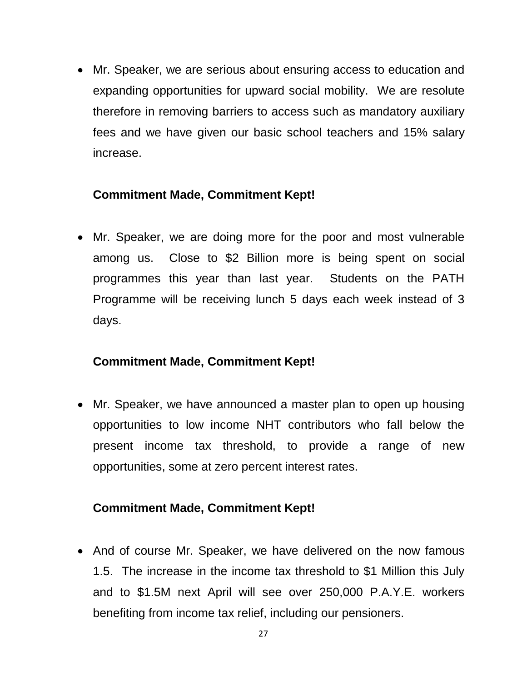Mr. Speaker, we are serious about ensuring access to education and expanding opportunities for upward social mobility. We are resolute therefore in removing barriers to access such as mandatory auxiliary fees and we have given our basic school teachers and 15% salary increase.

### **Commitment Made, Commitment Kept!**

 Mr. Speaker, we are doing more for the poor and most vulnerable among us. Close to \$2 Billion more is being spent on social programmes this year than last year. Students on the PATH Programme will be receiving lunch 5 days each week instead of 3 days.

#### **Commitment Made, Commitment Kept!**

• Mr. Speaker, we have announced a master plan to open up housing opportunities to low income NHT contributors who fall below the present income tax threshold, to provide a range of new opportunities, some at zero percent interest rates.

#### **Commitment Made, Commitment Kept!**

• And of course Mr. Speaker, we have delivered on the now famous 1.5. The increase in the income tax threshold to \$1 Million this July and to \$1.5M next April will see over 250,000 P.A.Y.E. workers benefiting from income tax relief, including our pensioners.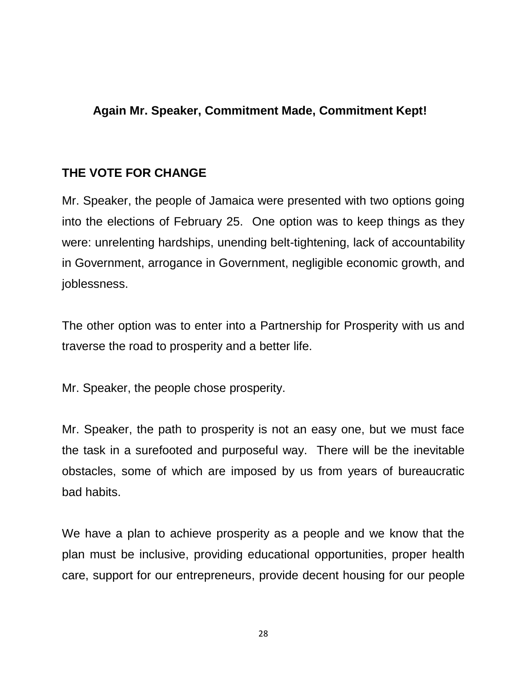## **Again Mr. Speaker, Commitment Made, Commitment Kept!**

## **THE VOTE FOR CHANGE**

Mr. Speaker, the people of Jamaica were presented with two options going into the elections of February 25. One option was to keep things as they were: unrelenting hardships, unending belt-tightening, lack of accountability in Government, arrogance in Government, negligible economic growth, and joblessness.

The other option was to enter into a Partnership for Prosperity with us and traverse the road to prosperity and a better life.

Mr. Speaker, the people chose prosperity.

Mr. Speaker, the path to prosperity is not an easy one, but we must face the task in a surefooted and purposeful way. There will be the inevitable obstacles, some of which are imposed by us from years of bureaucratic bad habits.

We have a plan to achieve prosperity as a people and we know that the plan must be inclusive, providing educational opportunities, proper health care, support for our entrepreneurs, provide decent housing for our people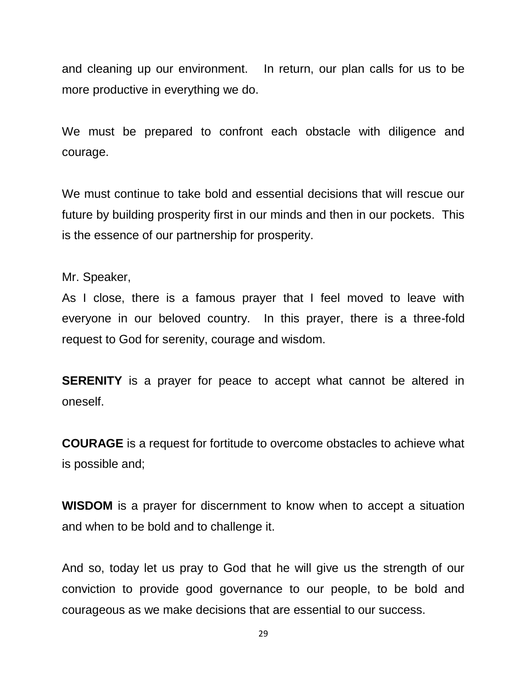and cleaning up our environment. In return, our plan calls for us to be more productive in everything we do.

We must be prepared to confront each obstacle with diligence and courage.

We must continue to take bold and essential decisions that will rescue our future by building prosperity first in our minds and then in our pockets. This is the essence of our partnership for prosperity.

Mr. Speaker,

As I close, there is a famous prayer that I feel moved to leave with everyone in our beloved country. In this prayer, there is a three-fold request to God for serenity, courage and wisdom.

**SERENITY** is a prayer for peace to accept what cannot be altered in oneself.

**COURAGE** is a request for fortitude to overcome obstacles to achieve what is possible and;

**WISDOM** is a prayer for discernment to know when to accept a situation and when to be bold and to challenge it.

And so, today let us pray to God that he will give us the strength of our conviction to provide good governance to our people, to be bold and courageous as we make decisions that are essential to our success.